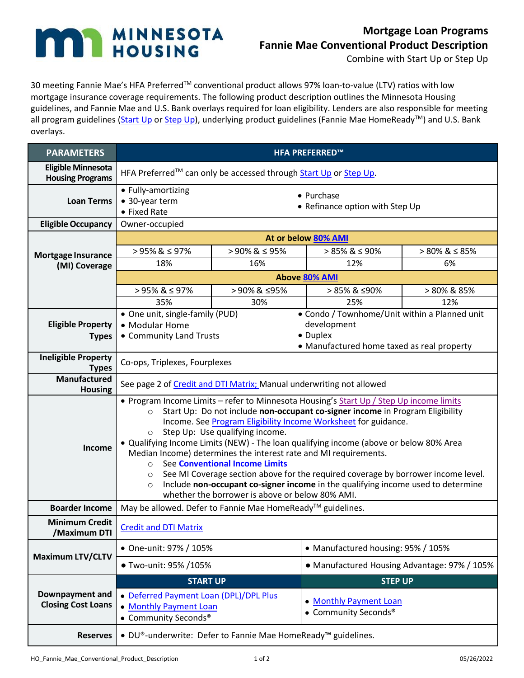## MINNESOTA **n**

## **Mortgage Loan Programs Fannie Mae Conventional Product Description**

Combine with Start Up or Step Up

30 meeting Fannie Mae's HFA Preferred™ conventional product allows 97% loan-to-value (LTV) ratios with low mortgage insurance coverage requirements. The following product description outlines the Minnesota Housing guidelines, and Fannie Mae and U.S. Bank overlays required for loan eligibility. Lenders are also responsible for meeting all program guidelines [\(Start Up](http://www.mnhousing.gov/get/MHFA_1012853) o[r Step Up\)](http://www.mnhousing.gov/get/MHFA_013336), underlying product guidelines (Fannie Mae HomeReady™) and U.S. Bank overlays.

| <b>PARAMETERS</b>                                    | <b>HFA PREFERRED™</b>                                                                                                                                                                                                                                                                                                                                                                                                                                                                                                                                                                                                                                                                                                                                            |                       |                                                |                   |
|------------------------------------------------------|------------------------------------------------------------------------------------------------------------------------------------------------------------------------------------------------------------------------------------------------------------------------------------------------------------------------------------------------------------------------------------------------------------------------------------------------------------------------------------------------------------------------------------------------------------------------------------------------------------------------------------------------------------------------------------------------------------------------------------------------------------------|-----------------------|------------------------------------------------|-------------------|
| <b>Eligible Minnesota</b><br><b>Housing Programs</b> | HFA Preferred™ can only be accessed through Start Up or Step Up.                                                                                                                                                                                                                                                                                                                                                                                                                                                                                                                                                                                                                                                                                                 |                       |                                                |                   |
| <b>Loan Terms</b>                                    | • Fully-amortizing<br>• 30-year term<br>• Fixed Rate                                                                                                                                                                                                                                                                                                                                                                                                                                                                                                                                                                                                                                                                                                             |                       | • Purchase<br>• Refinance option with Step Up  |                   |
| <b>Eligible Occupancy</b>                            | Owner-occupied                                                                                                                                                                                                                                                                                                                                                                                                                                                                                                                                                                                                                                                                                                                                                   |                       |                                                |                   |
|                                                      | At or below 80% AMI                                                                                                                                                                                                                                                                                                                                                                                                                                                                                                                                                                                                                                                                                                                                              |                       |                                                |                   |
| <b>Mortgage Insurance</b><br>(MI) Coverage           | $>95\%$ & $\leq 97\%$                                                                                                                                                                                                                                                                                                                                                                                                                                                                                                                                                                                                                                                                                                                                            | $>90\%$ & $\leq 95\%$ | $> 85\%$ & $\leq 90\%$                         | $> 80\% \& 585\%$ |
|                                                      | 18%                                                                                                                                                                                                                                                                                                                                                                                                                                                                                                                                                                                                                                                                                                                                                              | 16%                   | 12%                                            | 6%                |
|                                                      | <b>Above 80% AMI</b>                                                                                                                                                                                                                                                                                                                                                                                                                                                                                                                                                                                                                                                                                                                                             |                       |                                                |                   |
|                                                      | $>95\%$ & $\leq 97\%$                                                                                                                                                                                                                                                                                                                                                                                                                                                                                                                                                                                                                                                                                                                                            | >90%& ≤95%            | > 85% & ≤90%                                   | > 80% & 85%       |
|                                                      | 35%                                                                                                                                                                                                                                                                                                                                                                                                                                                                                                                                                                                                                                                                                                                                                              | 30%                   | 25%                                            | 12%               |
|                                                      | • Condo / Townhome/Unit within a Planned unit<br>• One unit, single-family (PUD)<br>development<br>• Modular Home<br>• Duplex<br>• Community Land Trusts<br>• Manufactured home taxed as real property                                                                                                                                                                                                                                                                                                                                                                                                                                                                                                                                                           |                       |                                                |                   |
| <b>Eligible Property</b>                             |                                                                                                                                                                                                                                                                                                                                                                                                                                                                                                                                                                                                                                                                                                                                                                  |                       |                                                |                   |
| <b>Types</b>                                         |                                                                                                                                                                                                                                                                                                                                                                                                                                                                                                                                                                                                                                                                                                                                                                  |                       |                                                |                   |
| <b>Ineligible Property</b><br><b>Types</b>           | Co-ops, Triplexes, Fourplexes                                                                                                                                                                                                                                                                                                                                                                                                                                                                                                                                                                                                                                                                                                                                    |                       |                                                |                   |
| Manufactured<br><b>Housing</b>                       | See page 2 of Credit and DTI Matrix; Manual underwriting not allowed                                                                                                                                                                                                                                                                                                                                                                                                                                                                                                                                                                                                                                                                                             |                       |                                                |                   |
| Income                                               | . Program Income Limits - refer to Minnesota Housing's Start Up / Step Up income limits<br>Start Up: Do not include non-occupant co-signer income in Program Eligibility<br>$\circ$<br>Income. See Program Eligibility Income Worksheet for guidance.<br>Step Up: Use qualifying income.<br>$\circ$<br>• Qualifying Income Limits (NEW) - The loan qualifying income (above or below 80% Area<br>Median Income) determines the interest rate and MI requirements.<br>See Conventional Income Limits<br>$\circ$<br>See MI Coverage section above for the required coverage by borrower income level.<br>$\circ$<br>Include non-occupant co-signer income in the qualifying income used to determine<br>$\circ$<br>whether the borrower is above or below 80% AMI. |                       |                                                |                   |
| <b>Boarder Income</b>                                | May be allowed. Defer to Fannie Mae HomeReady™ guidelines.                                                                                                                                                                                                                                                                                                                                                                                                                                                                                                                                                                                                                                                                                                       |                       |                                                |                   |
| <b>Minimum Credit</b><br>/Maximum DTI                | <b>Credit and DTI Matrix</b>                                                                                                                                                                                                                                                                                                                                                                                                                                                                                                                                                                                                                                                                                                                                     |                       |                                                |                   |
| <b>Maximum LTV/CLTV</b>                              | • One-unit: 97% / 105%                                                                                                                                                                                                                                                                                                                                                                                                                                                                                                                                                                                                                                                                                                                                           |                       | • Manufactured housing: 95% / 105%             |                   |
|                                                      | ● Two-unit: 95% /105%                                                                                                                                                                                                                                                                                                                                                                                                                                                                                                                                                                                                                                                                                                                                            |                       | • Manufactured Housing Advantage: 97% / 105%   |                   |
| Downpayment and<br><b>Closing Cost Loans</b>         | <b>STEP UP</b><br><b>START UP</b>                                                                                                                                                                                                                                                                                                                                                                                                                                                                                                                                                                                                                                                                                                                                |                       |                                                |                   |
|                                                      | · Deferred Payment Loan (DPL)/DPL Plus<br>• Monthly Payment Loan<br>• Community Seconds <sup>®</sup>                                                                                                                                                                                                                                                                                                                                                                                                                                                                                                                                                                                                                                                             |                       | • Monthly Payment Loan<br>• Community Seconds® |                   |
| <b>Reserves</b>                                      | • DU®-underwrite: Defer to Fannie Mae HomeReady™ guidelines.                                                                                                                                                                                                                                                                                                                                                                                                                                                                                                                                                                                                                                                                                                     |                       |                                                |                   |